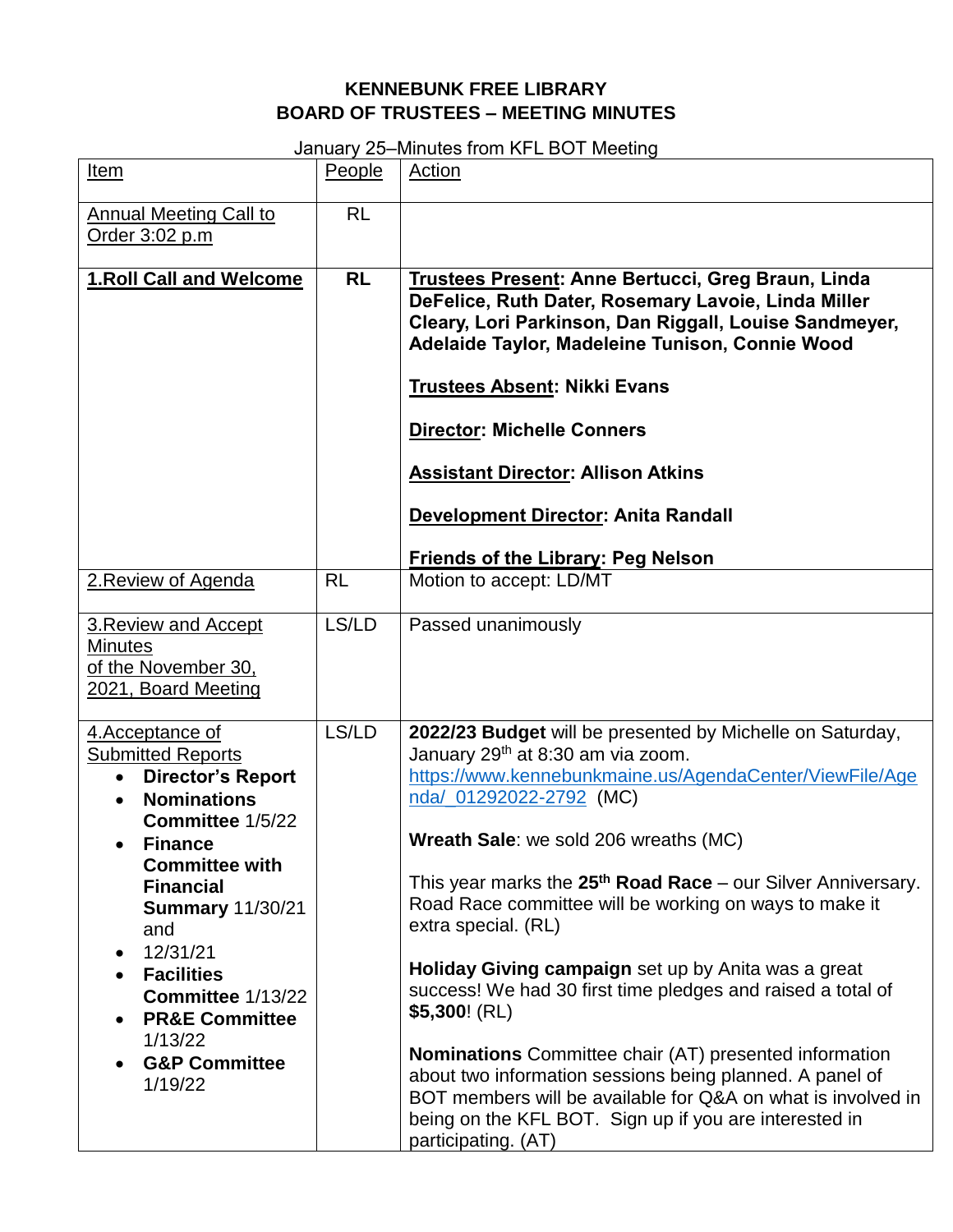## **KENNEBUNK FREE LIBRARY BOARD OF TRUSTEES – MEETING MINUTES**

January 25–Minutes from KFL BOT Meeting

| Item                                                                                                                                                                                                                                                                                                                                                                                       | People    | Action                                                                                                                                                                                                                                                                                                                                                                                                                                                                                                                                                                                                                                                                                                                                                                                                                     |
|--------------------------------------------------------------------------------------------------------------------------------------------------------------------------------------------------------------------------------------------------------------------------------------------------------------------------------------------------------------------------------------------|-----------|----------------------------------------------------------------------------------------------------------------------------------------------------------------------------------------------------------------------------------------------------------------------------------------------------------------------------------------------------------------------------------------------------------------------------------------------------------------------------------------------------------------------------------------------------------------------------------------------------------------------------------------------------------------------------------------------------------------------------------------------------------------------------------------------------------------------------|
| <b>Annual Meeting Call to</b><br>Order 3:02 p.m                                                                                                                                                                                                                                                                                                                                            | <b>RL</b> |                                                                                                                                                                                                                                                                                                                                                                                                                                                                                                                                                                                                                                                                                                                                                                                                                            |
| <b>1.Roll Call and Welcome</b>                                                                                                                                                                                                                                                                                                                                                             | <b>RL</b> | Trustees Present: Anne Bertucci, Greg Braun, Linda<br>DeFelice, Ruth Dater, Rosemary Lavoie, Linda Miller<br>Cleary, Lori Parkinson, Dan Riggall, Louise Sandmeyer,<br>Adelaide Taylor, Madeleine Tunison, Connie Wood<br><b>Trustees Absent: Nikki Evans</b><br><b>Director: Michelle Conners</b><br><b>Assistant Director: Allison Atkins</b><br><b>Development Director: Anita Randall</b><br><b>Friends of the Library: Peg Nelson</b>                                                                                                                                                                                                                                                                                                                                                                                 |
| 2. Review of Agenda                                                                                                                                                                                                                                                                                                                                                                        | <b>RL</b> | Motion to accept: LD/MT                                                                                                                                                                                                                                                                                                                                                                                                                                                                                                                                                                                                                                                                                                                                                                                                    |
| 3. Review and Accept<br><b>Minutes</b><br>of the November 30,<br>2021, Board Meeting                                                                                                                                                                                                                                                                                                       | LS/LD     | Passed unanimously                                                                                                                                                                                                                                                                                                                                                                                                                                                                                                                                                                                                                                                                                                                                                                                                         |
| 4. Acceptance of<br><b>Submitted Reports</b><br>• Director's Report<br><b>Nominations</b><br>Committee 1/5/22<br><b>Finance</b><br><b>Committee with</b><br><b>Financial</b><br><b>Summary 11/30/21</b><br>and<br>12/31/21<br>$\bullet$<br><b>Facilities</b><br>Committee 1/13/22<br><b>PR&amp;E Committee</b><br>$\bullet$<br>1/13/22<br><b>G&amp;P Committee</b><br>$\bullet$<br>1/19/22 | LS/LD     | 2022/23 Budget will be presented by Michelle on Saturday,<br>January 29 <sup>th</sup> at 8:30 am via zoom.<br>https://www.kennebunkmaine.us/AgendaCenter/ViewFile/Age<br>nda/_01292022-2792 (MC)<br><b>Wreath Sale:</b> we sold 206 wreaths (MC)<br>This year marks the $25th$ Road Race – our Silver Anniversary.<br>Road Race committee will be working on ways to make it<br>extra special. (RL)<br>Holiday Giving campaign set up by Anita was a great<br>success! We had 30 first time pledges and raised a total of<br>$$5,300$ ! (RL)<br><b>Nominations</b> Committee chair (AT) presented information<br>about two information sessions being planned. A panel of<br>BOT members will be available for Q&A on what is involved in<br>being on the KFL BOT. Sign up if you are interested in<br>participating. (AT) |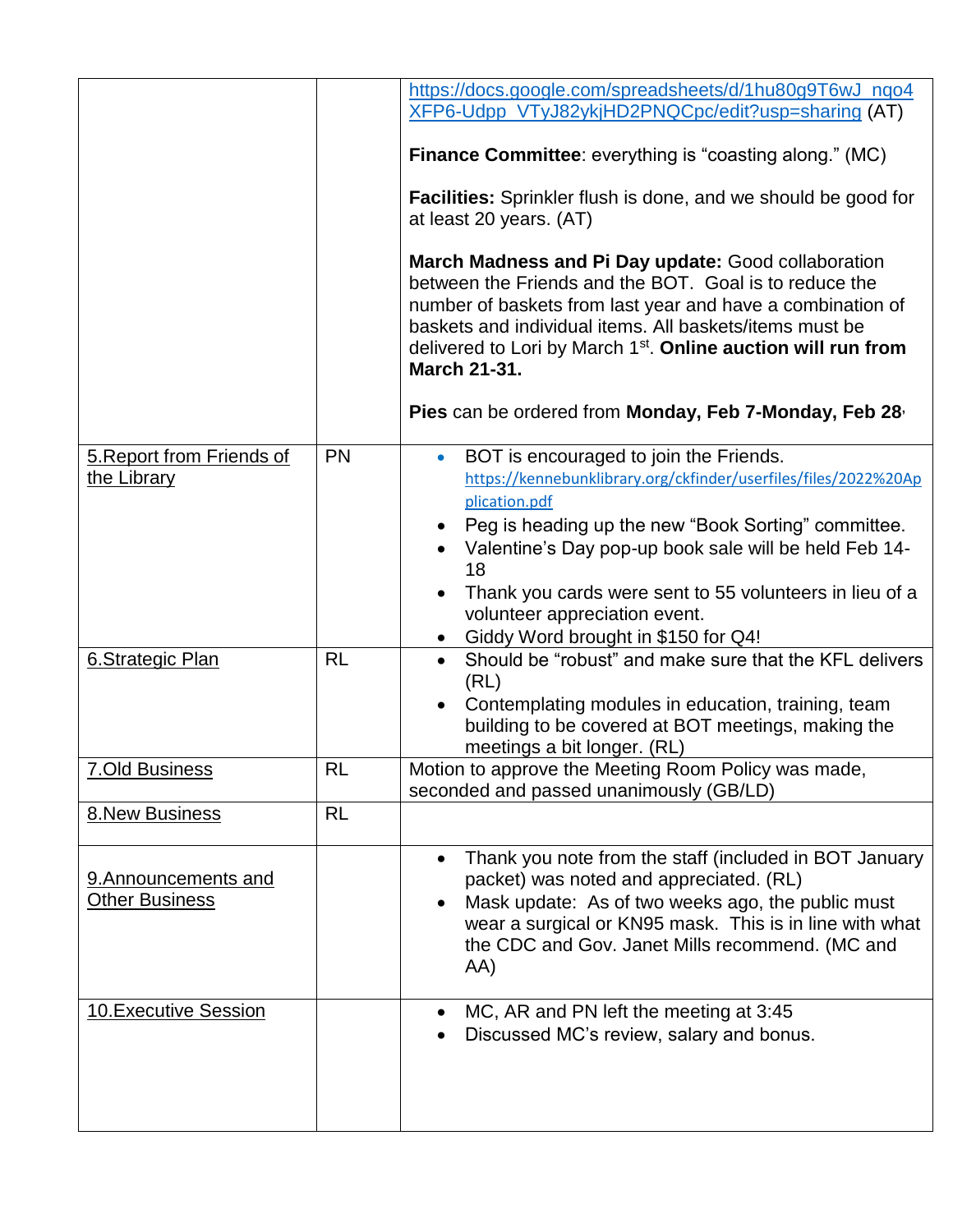|                                               |           | https://docs.google.com/spreadsheets/d/1hu80g9T6wJ_nqo4                                                                                                                                                                                                                                                                                    |
|-----------------------------------------------|-----------|--------------------------------------------------------------------------------------------------------------------------------------------------------------------------------------------------------------------------------------------------------------------------------------------------------------------------------------------|
|                                               |           | XFP6-Udpp_VTyJ82ykjHD2PNQCpc/edit?usp=sharing (AT)                                                                                                                                                                                                                                                                                         |
|                                               |           | <b>Finance Committee:</b> everything is "coasting along." (MC)                                                                                                                                                                                                                                                                             |
|                                               |           | <b>Facilities:</b> Sprinkler flush is done, and we should be good for<br>at least 20 years. (AT)                                                                                                                                                                                                                                           |
|                                               |           | March Madness and Pi Day update: Good collaboration<br>between the Friends and the BOT. Goal is to reduce the<br>number of baskets from last year and have a combination of<br>baskets and individual items. All baskets/items must be<br>delivered to Lori by March 1 <sup>st</sup> . Online auction will run from<br><b>March 21-31.</b> |
|                                               |           | Pies can be ordered from Monday, Feb 7-Monday, Feb 28,                                                                                                                                                                                                                                                                                     |
| 5. Report from Friends of<br>the Library      | <b>PN</b> | BOT is encouraged to join the Friends.<br>https://kennebunklibrary.org/ckfinder/userfiles/files/2022%20Ap<br>plication.pdf<br>Peg is heading up the new "Book Sorting" committee.                                                                                                                                                          |
|                                               |           | Valentine's Day pop-up book sale will be held Feb 14-<br>18                                                                                                                                                                                                                                                                                |
|                                               |           | Thank you cards were sent to 55 volunteers in lieu of a<br>volunteer appreciation event.                                                                                                                                                                                                                                                   |
|                                               |           | Giddy Word brought in \$150 for Q4!                                                                                                                                                                                                                                                                                                        |
| <b>6.Strategic Plan</b>                       | <b>RL</b> | Should be "robust" and make sure that the KFL delivers<br>(RL)<br>Contemplating modules in education, training, team<br>building to be covered at BOT meetings, making the<br>meetings a bit longer. (RL)                                                                                                                                  |
| <b>7.Old Business</b>                         | <b>RL</b> | Motion to approve the Meeting Room Policy was made,<br>seconded and passed unanimously (GB/LD)                                                                                                                                                                                                                                             |
| <b>8.New Business</b>                         | <b>RL</b> |                                                                                                                                                                                                                                                                                                                                            |
| 9. Announcements and<br><b>Other Business</b> |           | Thank you note from the staff (included in BOT January<br>packet) was noted and appreciated. (RL)<br>Mask update: As of two weeks ago, the public must<br>wear a surgical or KN95 mask. This is in line with what<br>the CDC and Gov. Janet Mills recommend. (MC and<br>AA)                                                                |
| <b>10. Executive Session</b>                  |           | MC, AR and PN left the meeting at 3:45<br>Discussed MC's review, salary and bonus.                                                                                                                                                                                                                                                         |